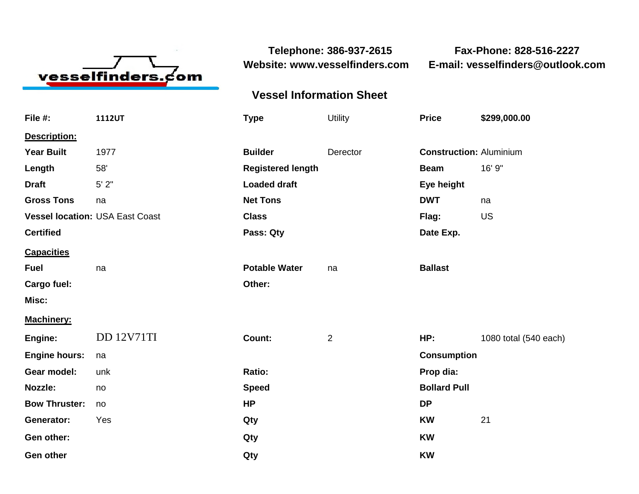

**Telephone: 386-937-2615 Fax-Phone: 828-516-2227 Website: www.vesselfinders.com E-mail: vesselfinders@outlook.com**

## **Vessel Information Sheet**

| File #:                                | 1112UT            | <b>Type</b>              | <b>Utility</b> | <b>Price</b>                   | \$299,000.00          |
|----------------------------------------|-------------------|--------------------------|----------------|--------------------------------|-----------------------|
| Description:                           |                   |                          |                |                                |                       |
| <b>Year Built</b>                      | 1977              | <b>Builder</b>           | Derector       | <b>Construction: Aluminium</b> |                       |
| Length                                 | 58'               | <b>Registered length</b> |                | <b>Beam</b>                    | 16' 9"                |
| <b>Draft</b>                           | $5'$ $2"$         | <b>Loaded draft</b>      |                | Eye height                     |                       |
| <b>Gross Tons</b>                      | na                | <b>Net Tons</b>          |                | <b>DWT</b>                     | na                    |
| <b>Vessel location: USA East Coast</b> |                   | <b>Class</b>             |                | Flag:                          | US                    |
| <b>Certified</b>                       |                   | Pass: Qty                |                | Date Exp.                      |                       |
| <b>Capacities</b>                      |                   |                          |                |                                |                       |
| <b>Fuel</b>                            | na                | <b>Potable Water</b>     | na             | <b>Ballast</b>                 |                       |
| Cargo fuel:                            |                   | Other:                   |                |                                |                       |
| Misc:                                  |                   |                          |                |                                |                       |
| <b>Machinery:</b>                      |                   |                          |                |                                |                       |
| Engine:                                | <b>DD 12V71TI</b> | Count:                   | $\overline{2}$ | HP:                            | 1080 total (540 each) |
| <b>Engine hours:</b>                   | na                |                          |                | <b>Consumption</b>             |                       |
| Gear model:                            | unk               | Ratio:                   |                | Prop dia:                      |                       |
| <b>Nozzle:</b>                         | no                | <b>Speed</b>             |                | <b>Bollard Pull</b>            |                       |
| <b>Bow Thruster:</b>                   | no                | <b>HP</b>                |                | <b>DP</b>                      |                       |
| Generator:                             | Yes               | Qty                      |                | <b>KW</b>                      | 21                    |
| Gen other:                             |                   | Qty                      |                | <b>KW</b>                      |                       |
| <b>Gen other</b>                       |                   | Qty                      |                | <b>KW</b>                      |                       |